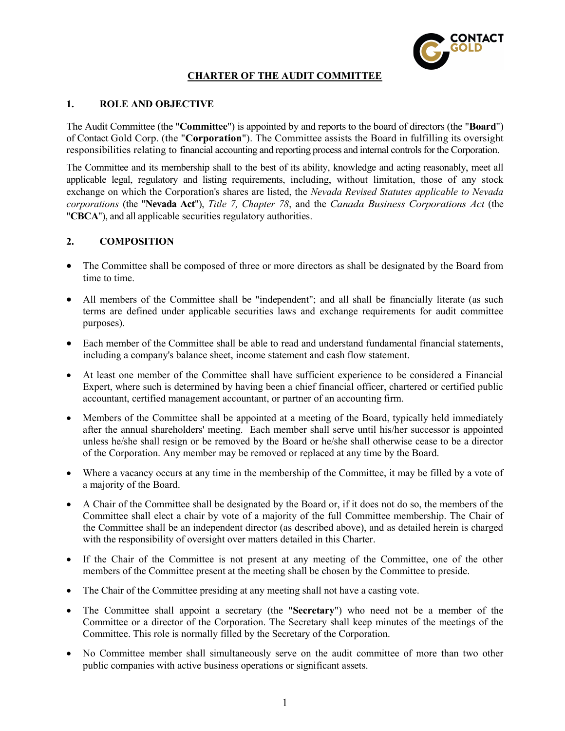

# CHARTER OF THE AUDIT COMMITTEE

## 1. ROLE AND OBJECTIVE

The Audit Committee (the "Committee") is appointed by and reports to the board of directors (the "Board") of Contact Gold Corp. (the "Corporation"). The Committee assists the Board in fulfilling its oversight responsibilities relating to financial accounting and reporting process and internal controls for the Corporation.

The Committee and its membership shall to the best of its ability, knowledge and acting reasonably, meet all applicable legal, regulatory and listing requirements, including, without limitation, those of any stock exchange on which the Corporation's shares are listed, the Nevada Revised Statutes applicable to Nevada corporations (the "Nevada Act"), Title 7, Chapter 78, and the Canada Business Corporations Act (the "CBCA"), and all applicable securities regulatory authorities.

## 2. COMPOSITION

- The Committee shall be composed of three or more directors as shall be designated by the Board from time to time.
- All members of the Committee shall be "independent"; and all shall be financially literate (as such terms are defined under applicable securities laws and exchange requirements for audit committee purposes).
- Each member of the Committee shall be able to read and understand fundamental financial statements, including a company's balance sheet, income statement and cash flow statement.
- At least one member of the Committee shall have sufficient experience to be considered a Financial Expert, where such is determined by having been a chief financial officer, chartered or certified public accountant, certified management accountant, or partner of an accounting firm.
- Members of the Committee shall be appointed at a meeting of the Board, typically held immediately after the annual shareholders' meeting. Each member shall serve until his/her successor is appointed unless he/she shall resign or be removed by the Board or he/she shall otherwise cease to be a director of the Corporation. Any member may be removed or replaced at any time by the Board.
- Where a vacancy occurs at any time in the membership of the Committee, it may be filled by a vote of a majority of the Board.
- A Chair of the Committee shall be designated by the Board or, if it does not do so, the members of the Committee shall elect a chair by vote of a majority of the full Committee membership. The Chair of the Committee shall be an independent director (as described above), and as detailed herein is charged with the responsibility of oversight over matters detailed in this Charter.
- If the Chair of the Committee is not present at any meeting of the Committee, one of the other members of the Committee present at the meeting shall be chosen by the Committee to preside.
- The Chair of the Committee presiding at any meeting shall not have a casting vote.
- The Committee shall appoint a secretary (the "Secretary") who need not be a member of the Committee or a director of the Corporation. The Secretary shall keep minutes of the meetings of the Committee. This role is normally filled by the Secretary of the Corporation.
- No Committee member shall simultaneously serve on the audit committee of more than two other public companies with active business operations or significant assets.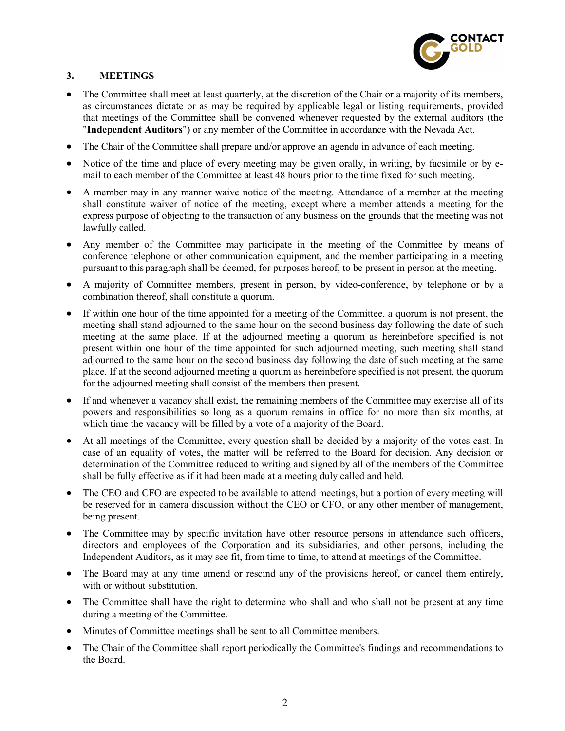

# 3. MEETINGS

- The Committee shall meet at least quarterly, at the discretion of the Chair or a majority of its members, as circumstances dictate or as may be required by applicable legal or listing requirements, provided that meetings of the Committee shall be convened whenever requested by the external auditors (the "Independent Auditors") or any member of the Committee in accordance with the Nevada Act.
- The Chair of the Committee shall prepare and/or approve an agenda in advance of each meeting.
- Notice of the time and place of every meeting may be given orally, in writing, by facsimile or by email to each member of the Committee at least 48 hours prior to the time fixed for such meeting.
- A member may in any manner waive notice of the meeting. Attendance of a member at the meeting shall constitute waiver of notice of the meeting, except where a member attends a meeting for the express purpose of objecting to the transaction of any business on the grounds that the meeting was not lawfully called.
- Any member of the Committee may participate in the meeting of the Committee by means of conference telephone or other communication equipment, and the member participating in a meeting pursuant to this paragraph shall be deemed, for purposes hereof, to be present in person at the meeting.
- A majority of Committee members, present in person, by video-conference, by telephone or by a combination thereof, shall constitute a quorum.
- If within one hour of the time appointed for a meeting of the Committee, a quorum is not present, the meeting shall stand adjourned to the same hour on the second business day following the date of such meeting at the same place. If at the adjourned meeting a quorum as hereinbefore specified is not present within one hour of the time appointed for such adjourned meeting, such meeting shall stand adjourned to the same hour on the second business day following the date of such meeting at the same place. If at the second adjourned meeting a quorum as hereinbefore specified is not present, the quorum for the adjourned meeting shall consist of the members then present.
- If and whenever a vacancy shall exist, the remaining members of the Committee may exercise all of its powers and responsibilities so long as a quorum remains in office for no more than six months, at which time the vacancy will be filled by a vote of a majority of the Board.
- At all meetings of the Committee, every question shall be decided by a majority of the votes cast. In case of an equality of votes, the matter will be referred to the Board for decision. Any decision or determination of the Committee reduced to writing and signed by all of the members of the Committee shall be fully effective as if it had been made at a meeting duly called and held.
- The CEO and CFO are expected to be available to attend meetings, but a portion of every meeting will be reserved for in camera discussion without the CEO or CFO, or any other member of management, being present.
- The Committee may by specific invitation have other resource persons in attendance such officers, directors and employees of the Corporation and its subsidiaries, and other persons, including the Independent Auditors, as it may see fit, from time to time, to attend at meetings of the Committee.
- The Board may at any time amend or rescind any of the provisions hereof, or cancel them entirely, with or without substitution.
- The Committee shall have the right to determine who shall and who shall not be present at any time during a meeting of the Committee.
- Minutes of Committee meetings shall be sent to all Committee members.
- The Chair of the Committee shall report periodically the Committee's findings and recommendations to the Board.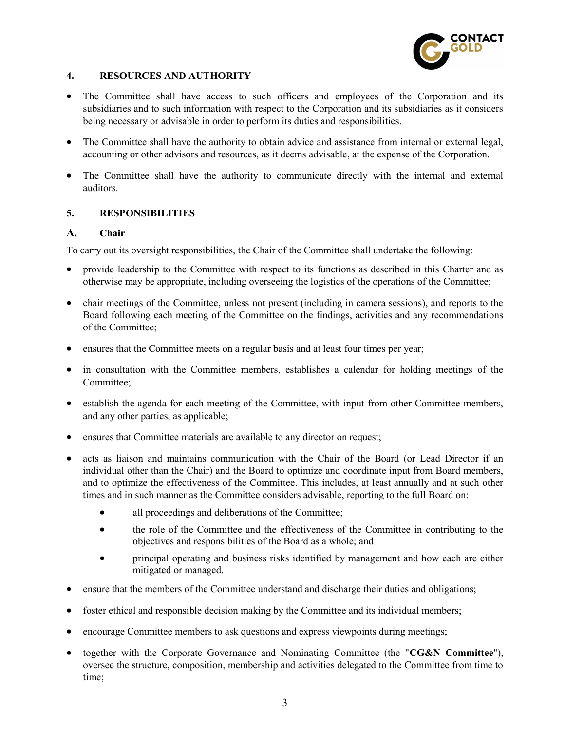

# 4. RESOURCES AND AUTHORITY

- The Committee shall have access to such officers and employees of the Corporation and its subsidiaries and to such information with respect to the Corporation and its subsidiaries as it considers being necessary or advisable in order to perform its duties and responsibilities.
- The Committee shall have the authority to obtain advice and assistance from internal or external legal, accounting or other advisors and resources, as it deems advisable, at the expense of the Corporation.
- The Committee shall have the authority to communicate directly with the internal and external auditors.

# 5. RESPONSIBILITIES

## A. Chair

To carry out its oversight responsibilities, the Chair of the Committee shall undertake the following:

- provide leadership to the Committee with respect to its functions as described in this Charter and as otherwise may be appropriate, including overseeing the logistics of the operations of the Committee;
- chair meetings of the Committee, unless not present (including in camera sessions), and reports to the Board following each meeting of the Committee on the findings, activities and any recommendations of the Committee;
- ensures that the Committee meets on a regular basis and at least four times per year;
- in consultation with the Committee members, establishes a calendar for holding meetings of the Committee;
- establish the agenda for each meeting of the Committee, with input from other Committee members, and any other parties, as applicable;
- ensures that Committee materials are available to any director on request;
- acts as liaison and maintains communication with the Chair of the Board (or Lead Director if an individual other than the Chair) and the Board to optimize and coordinate input from Board members, and to optimize the effectiveness of the Committee. This includes, at least annually and at such other times and in such manner as the Committee considers advisable, reporting to the full Board on:
	- all proceedings and deliberations of the Committee;
	- the role of the Committee and the effectiveness of the Committee in contributing to the objectives and responsibilities of the Board as a whole; and
	- principal operating and business risks identified by management and how each are either mitigated or managed.
- ensure that the members of the Committee understand and discharge their duties and obligations;
- foster ethical and responsible decision making by the Committee and its individual members;
- encourage Committee members to ask questions and express viewpoints during meetings;
- together with the Corporate Governance and Nominating Committee (the "CG&N Committee"), oversee the structure, composition, membership and activities delegated to the Committee from time to time;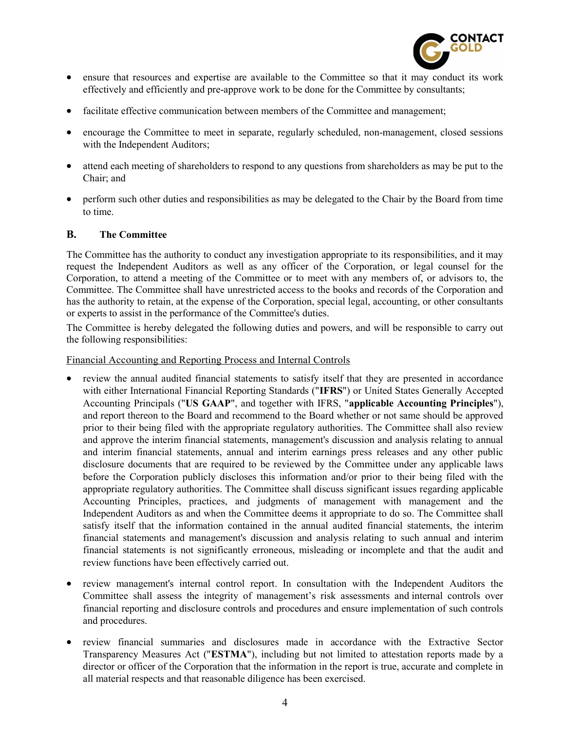

- ensure that resources and expertise are available to the Committee so that it may conduct its work effectively and efficiently and pre-approve work to be done for the Committee by consultants;
- facilitate effective communication between members of the Committee and management;
- encourage the Committee to meet in separate, regularly scheduled, non-management, closed sessions with the Independent Auditors;
- attend each meeting of shareholders to respond to any questions from shareholders as may be put to the Chair; and
- perform such other duties and responsibilities as may be delegated to the Chair by the Board from time to time.

## B. The Committee

The Committee has the authority to conduct any investigation appropriate to its responsibilities, and it may request the Independent Auditors as well as any officer of the Corporation, or legal counsel for the Corporation, to attend a meeting of the Committee or to meet with any members of, or advisors to, the Committee. The Committee shall have unrestricted access to the books and records of the Corporation and has the authority to retain, at the expense of the Corporation, special legal, accounting, or other consultants or experts to assist in the performance of the Committee's duties.

The Committee is hereby delegated the following duties and powers, and will be responsible to carry out the following responsibilities:

#### Financial Accounting and Reporting Process and Internal Controls

- review the annual audited financial statements to satisfy itself that they are presented in accordance with either International Financial Reporting Standards ("IFRS") or United States Generally Accepted Accounting Principals ("US GAAP", and together with IFRS, "applicable Accounting Principles"), and report thereon to the Board and recommend to the Board whether or not same should be approved prior to their being filed with the appropriate regulatory authorities. The Committee shall also review and approve the interim financial statements, management's discussion and analysis relating to annual and interim financial statements, annual and interim earnings press releases and any other public disclosure documents that are required to be reviewed by the Committee under any applicable laws before the Corporation publicly discloses this information and/or prior to their being filed with the appropriate regulatory authorities. The Committee shall discuss significant issues regarding applicable Accounting Principles, practices, and judgments of management with management and the Independent Auditors as and when the Committee deems it appropriate to do so. The Committee shall satisfy itself that the information contained in the annual audited financial statements, the interim financial statements and management's discussion and analysis relating to such annual and interim financial statements is not significantly erroneous, misleading or incomplete and that the audit and review functions have been effectively carried out.
- review management's internal control report. In consultation with the Independent Auditors the Committee shall assess the integrity of management's risk assessments and internal controls over financial reporting and disclosure controls and procedures and ensure implementation of such controls and procedures.
- review financial summaries and disclosures made in accordance with the Extractive Sector Transparency Measures Act ("ESTMA"), including but not limited to attestation reports made by a director or officer of the Corporation that the information in the report is true, accurate and complete in all material respects and that reasonable diligence has been exercised.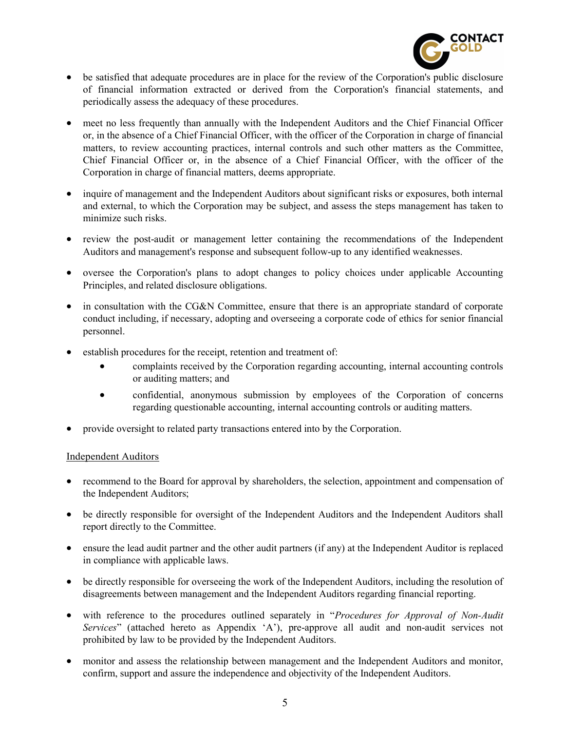

- be satisfied that adequate procedures are in place for the review of the Corporation's public disclosure of financial information extracted or derived from the Corporation's financial statements, and periodically assess the adequacy of these procedures.
- meet no less frequently than annually with the Independent Auditors and the Chief Financial Officer or, in the absence of a Chief Financial Officer, with the officer of the Corporation in charge of financial matters, to review accounting practices, internal controls and such other matters as the Committee, Chief Financial Officer or, in the absence of a Chief Financial Officer, with the officer of the Corporation in charge of financial matters, deems appropriate.
- inquire of management and the Independent Auditors about significant risks or exposures, both internal and external, to which the Corporation may be subject, and assess the steps management has taken to minimize such risks.
- review the post-audit or management letter containing the recommendations of the Independent Auditors and management's response and subsequent follow-up to any identified weaknesses.
- oversee the Corporation's plans to adopt changes to policy choices under applicable Accounting Principles, and related disclosure obligations.
- in consultation with the CG&N Committee, ensure that there is an appropriate standard of corporate conduct including, if necessary, adopting and overseeing a corporate code of ethics for senior financial personnel.
- establish procedures for the receipt, retention and treatment of:
	- complaints received by the Corporation regarding accounting, internal accounting controls or auditing matters; and
	- confidential, anonymous submission by employees of the Corporation of concerns regarding questionable accounting, internal accounting controls or auditing matters.
- provide oversight to related party transactions entered into by the Corporation.

#### Independent Auditors

- recommend to the Board for approval by shareholders, the selection, appointment and compensation of the Independent Auditors;
- be directly responsible for oversight of the Independent Auditors and the Independent Auditors shall report directly to the Committee.
- ensure the lead audit partner and the other audit partners (if any) at the Independent Auditor is replaced in compliance with applicable laws.
- be directly responsible for overseeing the work of the Independent Auditors, including the resolution of disagreements between management and the Independent Auditors regarding financial reporting.
- with reference to the procedures outlined separately in "Procedures for Approval of Non-Audit Services" (attached hereto as Appendix 'A'), pre-approve all audit and non-audit services not prohibited by law to be provided by the Independent Auditors.
- monitor and assess the relationship between management and the Independent Auditors and monitor, confirm, support and assure the independence and objectivity of the Independent Auditors.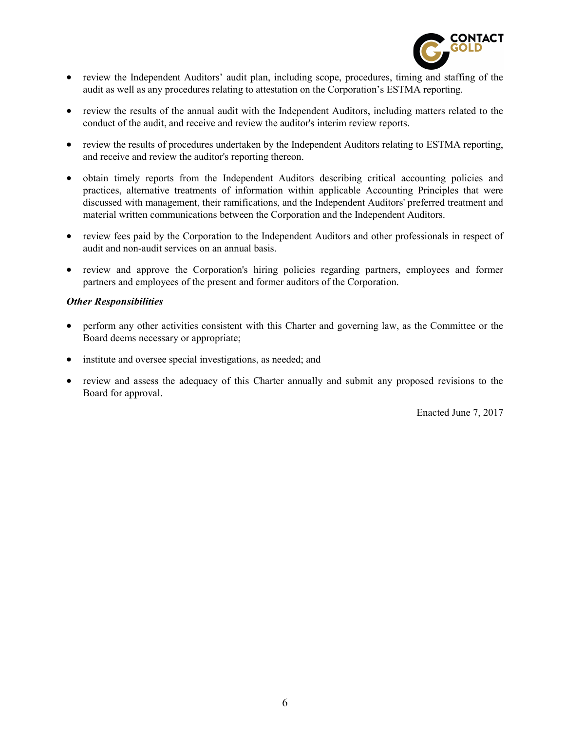

- review the Independent Auditors' audit plan, including scope, procedures, timing and staffing of the audit as well as any procedures relating to attestation on the Corporation's ESTMA reporting.
- review the results of the annual audit with the Independent Auditors, including matters related to the conduct of the audit, and receive and review the auditor's interim review reports.
- review the results of procedures undertaken by the Independent Auditors relating to ESTMA reporting, and receive and review the auditor's reporting thereon.
- obtain timely reports from the Independent Auditors describing critical accounting policies and practices, alternative treatments of information within applicable Accounting Principles that were discussed with management, their ramifications, and the Independent Auditors' preferred treatment and material written communications between the Corporation and the Independent Auditors.
- review fees paid by the Corporation to the Independent Auditors and other professionals in respect of audit and non-audit services on an annual basis.
- review and approve the Corporation's hiring policies regarding partners, employees and former partners and employees of the present and former auditors of the Corporation.

## Other Responsibilities

- perform any other activities consistent with this Charter and governing law, as the Committee or the Board deems necessary or appropriate;
- institute and oversee special investigations, as needed; and
- review and assess the adequacy of this Charter annually and submit any proposed revisions to the Board for approval.

Enacted June 7, 2017